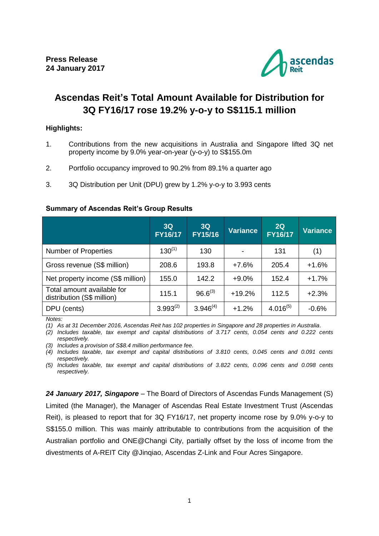

# **Ascendas Reit's Total Amount Available for Distribution for 3Q FY16/17 rose 19.2% y-o-y to S\$115.1 million**

## **Highlights:**

- 1. Contributions from the new acquisitions in Australia and Singapore lifted 3Q net property income by 9.0% year-on-year (y-o-y) to S\$155.0m
- 2. Portfolio occupancy improved to 90.2% from 89.1% a quarter ago
- 3. 3Q Distribution per Unit (DPU) grew by 1.2% y-o-y to 3.993 cents

#### **Summary of Ascendas Reit's Group Results**

|                                                          | 3Q<br>FY16/17 | 3Q<br>FY15/16 | <b>Variance</b> | 2Q<br><b>FY16/17</b> | <b>Variance</b> |
|----------------------------------------------------------|---------------|---------------|-----------------|----------------------|-----------------|
| <b>Number of Properties</b>                              | $130^{(1)}$   | 130           |                 | 131                  | (1)             |
| Gross revenue (S\$ million)                              | 208.6         | 193.8         | $+7.6%$         | 205.4                | $+1.6%$         |
| Net property income (S\$ million)                        | 155.0         | 142.2         | $+9.0%$         | 152.4                | $+1.7%$         |
| Total amount available for<br>distribution (S\$ million) | 115.1         | $96.6^{(3)}$  | $+19.2%$        | 112.5                | $+2.3%$         |
| DPU (cents)                                              | $3.993^{(2)}$ | $3.946^{(4)}$ | $+1.2%$         | $4.016^{(5)}$        | $-0.6%$         |

*Notes:* 

*(1) As at 31 December 2016, Ascendas Reit has 102 properties in Singapore and 28 properties in Australia.*

*(2) Includes taxable, tax exempt and capital distributions of 3.717 cents, 0.054 cents and 0.222 cents respectively.*

*(3) Includes a provision of S\$8.4 million performance fee.*

*(4) Includes taxable, tax exempt and capital distributions of 3.810 cents, 0.045 cents and 0.091 cents respectively.*

*(5) Includes taxable, tax exempt and capital distributions of 3.822 cents, 0.096 cents and 0.098 cents respectively.*

*24 January 2017, Singapore* – The Board of Directors of Ascendas Funds Management (S) Limited (the Manager), the Manager of Ascendas Real Estate Investment Trust (Ascendas Reit), is pleased to report that for 3Q FY16/17, net property income rose by 9.0% y-o-y to S\$155.0 million. This was mainly attributable to contributions from the acquisition of the Australian portfolio and ONE@Changi City, partially offset by the loss of income from the divestments of A-REIT City @Jinqiao, Ascendas Z-Link and Four Acres Singapore.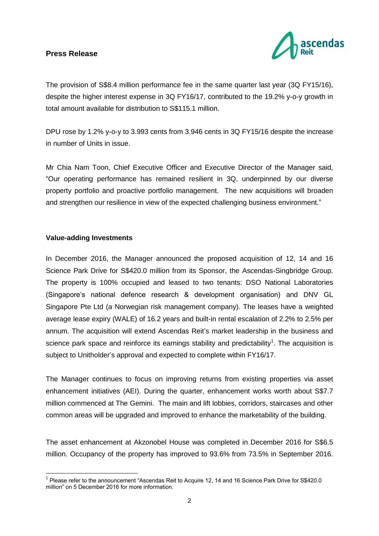

The provision of S\$8.4 million performance fee in the same quarter last year (3Q FY15/16), despite the higher interest expense in 3Q FY16/17, contributed to the 19.2% y-o-y growth in total amount available for distribution to S\$115.1 million.

DPU rose by 1.2% y-o-y to 3.993 cents from 3.946 cents in 3Q FY15/16 despite the increase in number of Units in issue.

Mr Chia Nam Toon, Chief Executive Officer and Executive Director of the Manager said, "Our operating performance has remained resilient in 3Q, underpinned by our diverse property portfolio and proactive portfolio management. The new acquisitions will broaden and strengthen our resilience in view of the expected challenging business environment."

#### **Value-adding Investments**

1

In December 2016, the Manager announced the proposed acquisition of 12, 14 and 16 Science Park Drive for S\$420.0 million from its Sponsor, the Ascendas-Singbridge Group. The property is 100% occupied and leased to two tenants: DSO National Laboratories (Singapore's national defence research & development organisation) and DNV GL Singapore Pte Ltd (a Norwegian risk management company). The leases have a weighted average lease expiry (WALE) of 16.2 years and built-in rental escalation of 2.2% to 2.5% per annum. The acquisition will extend Ascendas Reit's market leadership in the business and science park space and reinforce its earnings stability and predictability<sup>1</sup>. The acquisition is subject to Unitholder's approval and expected to complete within FY16/17.

The Manager continues to focus on improving returns from existing properties via asset enhancement initiatives (AEI). During the quarter, enhancement works worth about S\$7.7 million commenced at The Gemini. The main and lift lobbies, corridors, staircases and other common areas will be upgraded and improved to enhance the marketability of the building.

The asset enhancement at Akzonobel House was completed in December 2016 for S\$6.5 million. Occupancy of the property has improved to 93.6% from 73.5% in September 2016.

<sup>&</sup>lt;sup>1</sup> Please refer to the announcement "Ascendas Reit to Acquire 12, 14 and 16 Science Park Drive for S\$420.0 million" on 5 December 2016 for more information.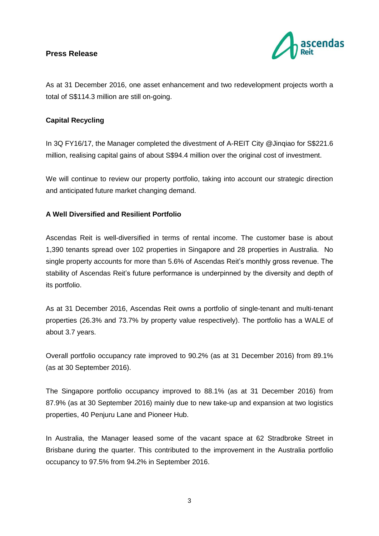

As at 31 December 2016, one asset enhancement and two redevelopment projects worth a total of S\$114.3 million are still on-going.

# **Capital Recycling**

In 3Q FY16/17, the Manager completed the divestment of A-REIT City @Jinqiao for S\$221.6 million, realising capital gains of about S\$94.4 million over the original cost of investment.

We will continue to review our property portfolio, taking into account our strategic direction and anticipated future market changing demand.

## **A Well Diversified and Resilient Portfolio**

Ascendas Reit is well-diversified in terms of rental income. The customer base is about 1,390 tenants spread over 102 properties in Singapore and 28 properties in Australia. No single property accounts for more than 5.6% of Ascendas Reit's monthly gross revenue. The stability of Ascendas Reit's future performance is underpinned by the diversity and depth of its portfolio.

As at 31 December 2016, Ascendas Reit owns a portfolio of single-tenant and multi-tenant properties (26.3% and 73.7% by property value respectively). The portfolio has a WALE of about 3.7 years.

Overall portfolio occupancy rate improved to 90.2% (as at 31 December 2016) from 89.1% (as at 30 September 2016).

The Singapore portfolio occupancy improved to 88.1% (as at 31 December 2016) from 87.9% (as at 30 September 2016) mainly due to new take-up and expansion at two logistics properties, 40 Penjuru Lane and Pioneer Hub.

In Australia, the Manager leased some of the vacant space at 62 Stradbroke Street in Brisbane during the quarter. This contributed to the improvement in the Australia portfolio occupancy to 97.5% from 94.2% in September 2016.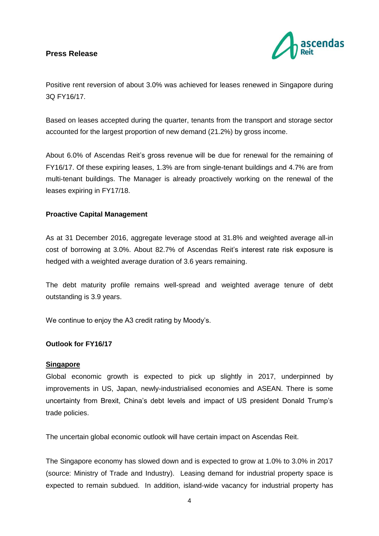

Positive rent reversion of about 3.0% was achieved for leases renewed in Singapore during 3Q FY16/17.

Based on leases accepted during the quarter, tenants from the transport and storage sector accounted for the largest proportion of new demand (21.2%) by gross income.

About 6.0% of Ascendas Reit's gross revenue will be due for renewal for the remaining of FY16/17. Of these expiring leases, 1.3% are from single-tenant buildings and 4.7% are from multi-tenant buildings. The Manager is already proactively working on the renewal of the leases expiring in FY17/18.

#### **Proactive Capital Management**

As at 31 December 2016, aggregate leverage stood at 31.8% and weighted average all-in cost of borrowing at 3.0%. About 82.7% of Ascendas Reit's interest rate risk exposure is hedged with a weighted average duration of 3.6 years remaining.

The debt maturity profile remains well-spread and weighted average tenure of debt outstanding is 3.9 years.

We continue to enjoy the A3 credit rating by Moody's.

#### **Outlook for FY16/17**

#### **Singapore**

Global economic growth is expected to pick up slightly in 2017, underpinned by improvements in US, Japan, newly-industrialised economies and ASEAN. There is some uncertainty from Brexit, China's debt levels and impact of US president Donald Trump's trade policies.

The uncertain global economic outlook will have certain impact on Ascendas Reit.

The Singapore economy has slowed down and is expected to grow at 1.0% to 3.0% in 2017 (source: Ministry of Trade and Industry). Leasing demand for industrial property space is expected to remain subdued. In addition, island-wide vacancy for industrial property has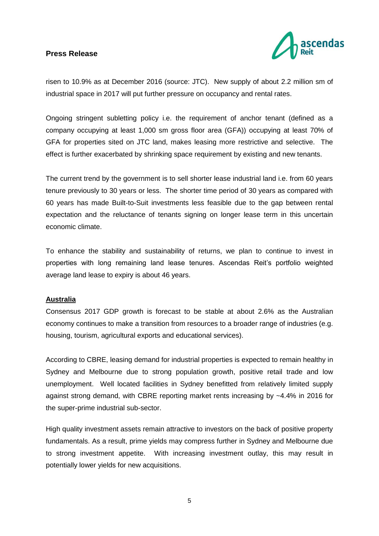

risen to 10.9% as at December 2016 (source: JTC). New supply of about 2.2 million sm of industrial space in 2017 will put further pressure on occupancy and rental rates.

Ongoing stringent subletting policy i.e. the requirement of anchor tenant (defined as a company occupying at least 1,000 sm gross floor area (GFA)) occupying at least 70% of GFA for properties sited on JTC land, makes leasing more restrictive and selective. The effect is further exacerbated by shrinking space requirement by existing and new tenants.

The current trend by the government is to sell shorter lease industrial land i.e. from 60 years tenure previously to 30 years or less. The shorter time period of 30 years as compared with 60 years has made Built-to-Suit investments less feasible due to the gap between rental expectation and the reluctance of tenants signing on longer lease term in this uncertain economic climate.

To enhance the stability and sustainability of returns, we plan to continue to invest in properties with long remaining land lease tenures. Ascendas Reit's portfolio weighted average land lease to expiry is about 46 years.

#### **Australia**

Consensus 2017 GDP growth is forecast to be stable at about 2.6% as the Australian economy continues to make a transition from resources to a broader range of industries (e.g. housing, tourism, agricultural exports and educational services).

According to CBRE, leasing demand for industrial properties is expected to remain healthy in Sydney and Melbourne due to strong population growth, positive retail trade and low unemployment. Well located facilities in Sydney benefitted from relatively limited supply against strong demand, with CBRE reporting market rents increasing by ~4.4% in 2016 for the super-prime industrial sub-sector.

High quality investment assets remain attractive to investors on the back of positive property fundamentals. As a result, prime yields may compress further in Sydney and Melbourne due to strong investment appetite. With increasing investment outlay, this may result in potentially lower yields for new acquisitions.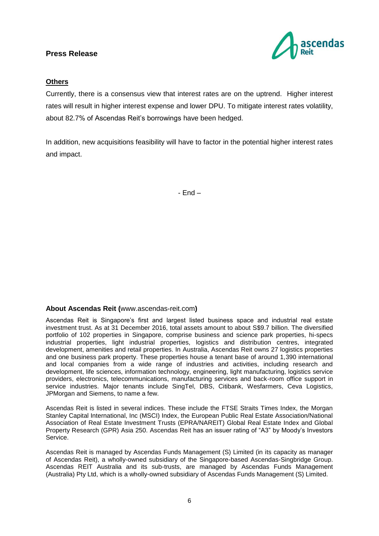

#### **Others**

Currently, there is a consensus view that interest rates are on the uptrend. Higher interest rates will result in higher interest expense and lower DPU. To mitigate interest rates volatility, about 82.7% of Ascendas Reit's borrowings have been hedged.

In addition, new acquisitions feasibility will have to factor in the potential higher interest rates and impact.

- End –

#### **About Ascendas Reit (**www.ascendas-reit.com**)**

Ascendas Reit is Singapore's first and largest listed business space and industrial real estate investment trust. As at 31 December 2016, total assets amount to about S\$9.7 billion. The diversified portfolio of 102 properties in Singapore, comprise business and science park properties, hi-specs industrial properties, light industrial properties, logistics and distribution centres, integrated development, amenities and retail properties. In Australia, Ascendas Reit owns 27 logistics properties and one business park property. These properties house a tenant base of around 1,390 international and local companies from a wide range of industries and activities, including research and development, life sciences, information technology, engineering, light manufacturing, logistics service providers, electronics, telecommunications, manufacturing services and back-room office support in service industries. Major tenants include SingTel, DBS, Citibank, Wesfarmers, Ceva Logistics, JPMorgan and Siemens, to name a few.

Ascendas Reit is listed in several indices. These include the FTSE Straits Times Index, the Morgan Stanley Capital International, Inc (MSCI) Index, the European Public Real Estate Association/National Association of Real Estate Investment Trusts (EPRA/NAREIT) Global Real Estate Index and Global Property Research (GPR) Asia 250. Ascendas Reit has an issuer rating of "A3" by Moody's Investors Service.

Ascendas Reit is managed by Ascendas Funds Management (S) Limited (in its capacity as manager of Ascendas Reit), a wholly-owned subsidiary of the Singapore-based Ascendas-Singbridge Group. Ascendas REIT Australia and its sub-trusts, are managed by Ascendas Funds Management (Australia) Pty Ltd, which is a wholly-owned subsidiary of Ascendas Funds Management (S) Limited.